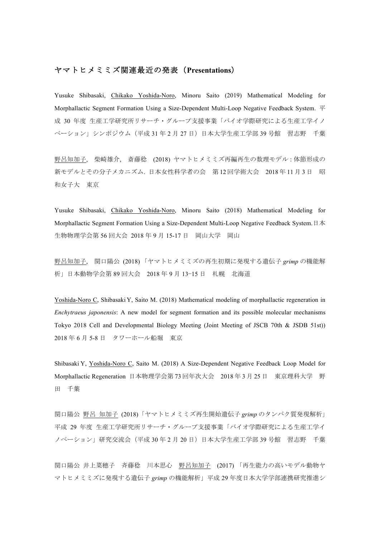## ヤマトヒメミミズ関連最近の発表(**Presentations**)

Yusuke Shibasaki, Chikako Yoshida-Noro, Minoru Saito (2019) Mathematical Modeling for Morphallactic Segment Formation Using a Size-Dependent Multi-Loop Negative Feedback System. 平 成 30 年度 生産工学研究所リサーチ・グループ支援事業「バイオ学際研究による生産工学イノ ベーション」シンポジウム(平成 31 年 2 月 27 日)日本大学生産工学部 39 号館 習志野 千葉

野呂知加子, 柴崎雄介, 斎藤稔 (2018) ヤマトヒメミミズ再編再生の数理モデル:体節形成の 新モデルとその分子メカニズム. 日本女性科学者の会 第 12 回学術大会 2018 年 11 月 3 日 昭 和女子大 東京

Yusuke Shibasaki, Chikako Yoshida-Noro, Minoru Saito (2018) Mathematical Modeling for Morphallactic Segment Formation Using a Size-Dependent Multi-Loop Negative Feedback System. 日本 生物物理学会第 56 回大会 2018 年 9 月 15-17 日 岡山大学 岡山

野呂知加子, 関口陽公 (2018) 「ヤマトヒメミミズの再生初期に発現する遺伝子 *grimp* の機能解 析」日本動物学会第 89 回大会 2018 年 9 月 13−15 日 札幌 北海道

Yoshida-Noro C, Shibasaki Y, Saito M. (2018) Mathematical modeling of morphallactic regeneration in *Enchytraeus japonensis*: A new model for segment formation and its possible molecular mechanisms Tokyo 2018 Cell and Developmental Biology Meeting (Joint Meeting of JSCB 70th & JSDB 51st)) 2018 年 6 月 5-8 日 タワーホール船堀 東京

Shibasaki Y, Yoshida-Noro C, Saito M. (2018) A Size-Dependent Negative Feedback Loop Model for Morphallactic Regeneration 日本物理学会第 73 回年次大会 2018 年 3 月 25 日 東京理科大学 野 田 千葉

関口陽公 野呂 知加子 (2018) 「ヤマトヒメミミズ再生開始遺伝子 *grimp* のタンパク質発現解析」 平成 29 年度 生産工学研究所リサーチ・グループ支援事業「バイオ学際研究による生産工学イ ノベーション」研究交流会(平成 30年2月 20日)日本大学生産工学部 39 号館 習志野 千葉

関口陽公 井上菜穂子 斉藤稔 川本思心 野呂知加子 (2017) 「再生能力の高いモデル動物ヤ マトヒメミミズに発現する遺伝子 *grimp* の機能解析」平成 29 年度日本大学学部連携研究推進シ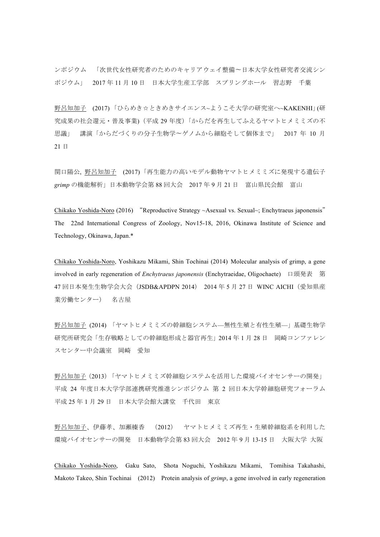ンポジウム 「次世代女性研究者のためのキャリアウェイ整備〜日本大学女性研究者交流シン ポジウム」 2017 年 11 月 10 日 日本大学生産工学部 スプリングホール 習志野 千葉

野呂知加子 (2017) 「ひらめき☆ときめきサイエンス~ようこそ大学の研究室へ~KAKENHI」(研 究成果の社会還元・普及事業)(平成 29 年度)「からだを再生してふえるヤマトヒメミミズの不 思議」 講演「からだづくりの分子生物学〜ゲノムから細胞そして個体まで」 2017 年 10 月 21 日

関口陽公, 野呂知加子 (2017) 「再生能力の高いモデル動物ヤマトヒメミミズに発現する遺伝子 *grimp* の機能解析」日本動物学会第 88 回大会 2017 年 9 月 21 日 富山県民会館 富山

Chikako Yoshida-Noro (2016) "Reproductive Strategy ~Asexual vs. Sexual~; Enchytraeus japonensis" The 22nd International Congress of Zoology, Nov15-18, 2016, Okinawa Institute of Science and Technology, Okinawa, Japan.\*

Chikako Yoshida-Noro, Yoshikazu Mikami, Shin Tochinai (2014) Molecular analysis of grimp, a gene involved in early regeneration of *Enchytraeus japonensis* (Enchytraeidae, Oligochaete) 口頭発表 第 47 回日本発生生物学会大会(JSDB&APDPN 2014) 2014 年 5 月 27 日 WINC AICHI(愛知県産 業労働センター) 名古屋

野呂知加子 (2014) 「ヤマトヒメミミズの幹細胞システム—無性生殖と有性生殖—」基礎生物学 研究所研究会「生存戦略としての幹細胞形成と器官再生」2014 年 1 月 28 日 岡崎コンファレン スセンター中会議室 岡崎 愛知

野呂知加子(2013)「ヤマトヒメミミズ幹細胞システムを活用した環境バイオセンサーの開発」 平成 24 年度日本大学学部連携研究推進シンポジウム 第 2 回日本大学幹細胞研究フォーラム 平成 25 年 1 月 29 日 日本大学会館大講堂 千代田 東京

野呂知加子、伊藤孝、加瀬榛香 (2012) ヤマトヒメミミズ再生・生殖幹細胞系を利用した 環境バイオセンサーの開発 日本動物学会第 83 回大会 2012 年 9 月 13-15 日 大阪大学 大阪

Chikako Yoshida-Noro, Gaku Sato, Shota Noguchi, Yoshikazu Mikami, Tomihisa Takahashi, Makoto Takeo, Shin Tochinai (2012) Protein analysis of *grimp*, a gene involved in early regeneration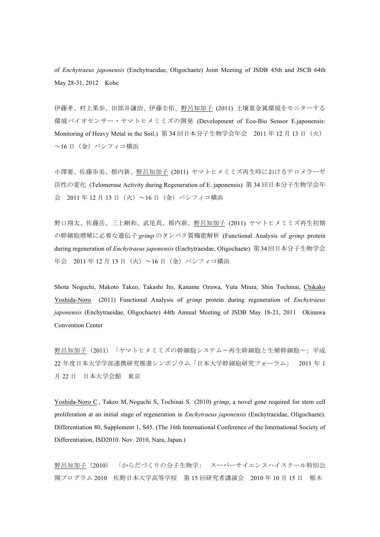of *Enchytraeus japonensis* (Enchytraeidae, Oligochaete) Joint Meeting of JSDB 45th and JSCB 64th May 28-31, 2012 Kobe

伊藤孝、村上果歩、田部井謙治、伊藤圭佑、野呂知加子 (2011) 土壌重金属環境をモニターする 環境バイオセンサー・ヤマトヒメミミズの開発 (Development of Eco-Bio Sensor E.japonensis: Monitoring of Heavy Metal in the Soil.) 第 34 回日本分子生物学会年会 2011 年 12 月 13 日(火) ~16 日(金)パシフィコ横浜

小澤要、佐藤歩美、栃内新、野呂知加子 (2011) ヤマトヒメミミズ再生時におけるテロメラーゼ 活性の変化 (Telomerase Activity during Regeneration of E. japonensis) 第 34 回日本分子生物学会年 会 2011 年 12 月 13 日(火)~16 日(金)パシフィコ横浜

野口翔太、佐藤岳、三上剛和、武尾真、栃内新、野呂知加子 (2011) ヤマトヒメミミズ再生初期 の幹細胞増殖に必要な遺伝子 *grimp* のタンパク質機能解析 (Functional Analysis of *grimp* protein during regeneration of *Enchytraeus japonensis* (Enchytraeidae, Oligochaete) 第 34回日本分子生物学会 年会 2011年12月13日 (火)~16日 (金) パシフィコ横浜

Shota Noguchi, Makoto Takeo, Takashi Ito, Kaname Ozawa, Yuta Miura, Shin Tochinai, Chikako Yoshida-Noro (2011) Functional Analysis of *grimp* protein during regeneration of *Enchytraeus japonensis* (Enchytraeidae, Oligochaete) 44th Annual Meeting of JSDB May 18-21, 2011 Okinawa Convention Center

野呂知加子(2011)「ヤマトヒメミミズの幹細胞システム〜再生幹細胞と生殖幹細胞〜」平成 22 年度日本大学学部連携研究推進シンポジウム「日本大学幹細胞研究フォーラム」 2011 年 1 月 22 日 日本大学会館 東京

Yoshida-Noro C, Takeo M, Noguchi S, Tochinai S. (2010) *grimp*, a novel gene required for stem cell proliferation at an initial stage of regeneration in *Enchytraeus japonensis* (Enchytraeidae, Oligochaete). Differentiation 80, Supplement 1, S45. (The 16th International Conference of the International Society of Differentiation, ISD2010. Nov. 2010, Nara, Japan.)

野呂知加子(2010) 「からだづくりの分子生物学」 スーパーサイエンスハイスクール特別公 開プログラム 2010 佐野日本大学高等学校 第 15 回研究者講演会 2010 年 10 月 15 日 栃木